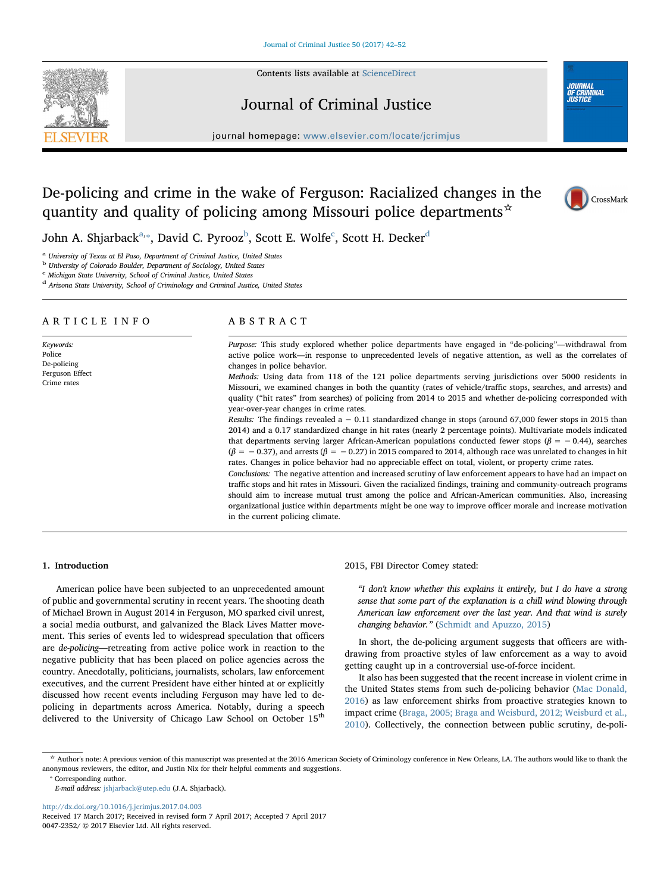

Contents lists available at [ScienceDirect](http://www.sciencedirect.com/science/journal/00472352)

# Journal of Criminal Justice

journal homepage: [www.elsevier.com/locate/jcrimjus](http://www.elsevier.com/locate/jcrimjus)

# CrossMark

John A. Shjar[b](#page-0-2)a[c](#page-0-3)k $^{\rm a, *}$  $^{\rm a, *}$  $^{\rm a, *}$ , Davi[d](#page-0-4) C. Pyrooz $^{\rm b}$ , Scott E. Wolfe $^{\rm c}$ , Scott H. Decker $^{\rm d}$ 

De-policing and crime in the wake of Ferguson: Racialized changes in the

quantity and quality of policing among Missouri police departments  $\dot{\alpha}$ 

<span id="page-0-0"></span>University of Texas at El Paso, Department of Criminal Justice, United States

<span id="page-0-2"></span><sup>b</sup> University of Colorado Boulder, Department of Sociology, United States

<span id="page-0-3"></span> $c$  Michigan State University, School of Criminal Justice, United States

<span id="page-0-4"></span><sup>d</sup> Arizona State University, School of Criminology and Criminal Justice, United States

### ARTICLE INFO

Keywords: Police De-policing Ferguson Effect Crime rates

### ABSTRACT

Purpose: This study explored whether police departments have engaged in "de-policing"—withdrawal from active police work—in response to unprecedented levels of negative attention, as well as the correlates of changes in police behavior.

Methods: Using data from 118 of the 121 police departments serving jurisdictions over 5000 residents in Missouri, we examined changes in both the quantity (rates of vehicle/traffic stops, searches, and arrests) and quality ("hit rates" from searches) of policing from 2014 to 2015 and whether de-policing corresponded with year-over-year changes in crime rates.

Results: The findings revealed a − 0.11 standardized change in stops (around 67,000 fewer stops in 2015 than 2014) and a 0.17 standardized change in hit rates (nearly 2 percentage points). Multivariate models indicated that departments serving larger African-American populations conducted fewer stops ( $\beta = -0.44$ ), searches  $(\beta = -0.37)$ , and arrests  $(\beta = -0.27)$  in 2015 compared to 2014, although race was unrelated to changes in hit rates. Changes in police behavior had no appreciable effect on total, violent, or property crime rates. Conclusions: The negative attention and increased scrutiny of law enforcement appears to have had an impact on

traffic stops and hit rates in Missouri. Given the racialized findings, training and community-outreach programs should aim to increase mutual trust among the police and African-American communities. Also, increasing organizational justice within departments might be one way to improve officer morale and increase motivation in the current policing climate.

#### 1. Introduction

American police have been subjected to an unprecedented amount of public and governmental scrutiny in recent years. The shooting death of Michael Brown in August 2014 in Ferguson, MO sparked civil unrest, a social media outburst, and galvanized the Black Lives Matter movement. This series of events led to widespread speculation that officers are de-policing—retreating from active police work in reaction to the negative publicity that has been placed on police agencies across the country. Anecdotally, politicians, journalists, scholars, law enforcement executives, and the current President have either hinted at or explicitly discussed how recent events including Ferguson may have led to depolicing in departments across America. Notably, during a speech delivered to the University of Chicago Law School on October 15<sup>th</sup>

2015, FBI Director Comey stated:

"I don't know whether this explains it entirely, but I do have a strong sense that some part of the explanation is a chill wind blowing through American law enforcement over the last year. And that wind is surely changing behavior." [\(Schmidt and Apuzzo, 2015](#page-10-0))

In short, the de-policing argument suggests that officers are withdrawing from proactive styles of law enforcement as a way to avoid getting caught up in a controversial use-of-force incident.

It also has been suggested that the recent increase in violent crime in the United States stems from such de-policing behavior [\(Mac Donald,](#page-10-1) [2016\)](#page-10-1) as law enforcement shirks from proactive strategies known to impact crime ([Braga, 2005; Braga and Weisburd, 2012; Weisburd et al.,](#page-9-0) [2010\)](#page-9-0). Collectively, the connection between public scrutiny, de-poli-

<span id="page-0-1"></span>

E-mail address: [jshjarback@utep.edu](mailto:jshjarback@utep.edu) (J.A. Shjarback).

<http://dx.doi.org/10.1016/j.jcrimjus.2017.04.003> Received 17 March 2017; Received in revised form 7 April 2017; Accepted 7 April 2017

0047-2352/ © 2017 Elsevier Ltd. All rights reserved.

<sup>☆</sup> Author's note: A previous version of this manuscript was presented at the 2016 American Society of Criminology conference in New Orleans, LA. The authors would like to thank the anonymous reviewers, the editor, and Justin Nix for their helpful comments and suggestions.<br>
\* Corresponding author.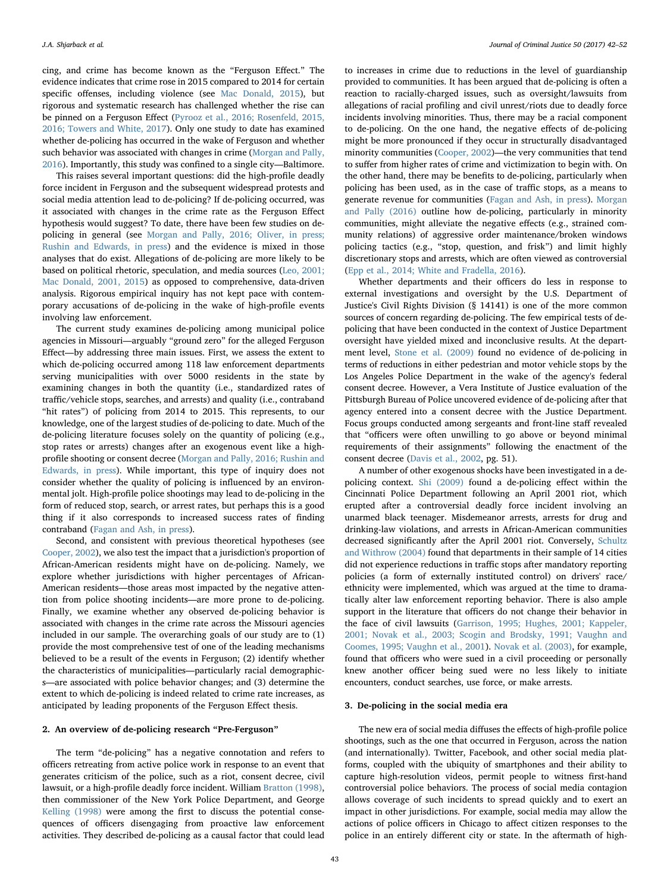cing, and crime has become known as the "Ferguson Effect." The evidence indicates that crime rose in 2015 compared to 2014 for certain specific offenses, including violence (see [Mac Donald, 2015\)](#page-10-2), but rigorous and systematic research has challenged whether the rise can be pinned on a Ferguson Effect ([Pyrooz et al., 2016; Rosenfeld, 2015,](#page-10-3) [2016; Towers and White, 2017](#page-10-3)). Only one study to date has examined whether de-policing has occurred in the wake of Ferguson and whether such behavior was associated with changes in crime [\(Morgan and Pally,](#page-10-4) [2016\)](#page-10-4). Importantly, this study was confined to a single city—Baltimore.

This raises several important questions: did the high-profile deadly force incident in Ferguson and the subsequent widespread protests and social media attention lead to de-policing? If de-policing occurred, was it associated with changes in the crime rate as the Ferguson Effect hypothesis would suggest? To date, there have been few studies on depolicing in general (see [Morgan and Pally, 2016; Oliver, in press;](#page-10-4) [Rushin and Edwards, in press\)](#page-10-4) and the evidence is mixed in those analyses that do exist. Allegations of de-policing are more likely to be based on political rhetoric, speculation, and media sources [\(Leo, 2001;](#page-9-1) [Mac Donald, 2001, 2015\)](#page-9-1) as opposed to comprehensive, data-driven analysis. Rigorous empirical inquiry has not kept pace with contemporary accusations of de-policing in the wake of high-profile events involving law enforcement.

The current study examines de-policing among municipal police agencies in Missouri—arguably "ground zero" for the alleged Ferguson Effect—by addressing three main issues. First, we assess the extent to which de-policing occurred among 118 law enforcement departments serving municipalities with over 5000 residents in the state by examining changes in both the quantity (i.e., standardized rates of traffic/vehicle stops, searches, and arrests) and quality (i.e., contraband "hit rates") of policing from 2014 to 2015. This represents, to our knowledge, one of the largest studies of de-policing to date. Much of the de-policing literature focuses solely on the quantity of policing (e.g., stop rates or arrests) changes after an exogenous event like a highprofile shooting or consent decree [\(Morgan and Pally, 2016; Rushin and](#page-10-4) [Edwards, in press](#page-10-4)). While important, this type of inquiry does not consider whether the quality of policing is influenced by an environmental jolt. High-profile police shootings may lead to de-policing in the form of reduced stop, search, or arrest rates, but perhaps this is a good thing if it also corresponds to increased success rates of finding contraband [\(Fagan and Ash, in press](#page-9-2)).

Second, and consistent with previous theoretical hypotheses (see [Cooper, 2002\)](#page-9-3), we also test the impact that a jurisdiction's proportion of African-American residents might have on de-policing. Namely, we explore whether jurisdictions with higher percentages of African-American residents—those areas most impacted by the negative attention from police shooting incidents—are more prone to de-policing. Finally, we examine whether any observed de-policing behavior is associated with changes in the crime rate across the Missouri agencies included in our sample. The overarching goals of our study are to (1) provide the most comprehensive test of one of the leading mechanisms believed to be a result of the events in Ferguson; (2) identify whether the characteristics of municipalities—particularly racial demographics—are associated with police behavior changes; and (3) determine the extent to which de-policing is indeed related to crime rate increases, as anticipated by leading proponents of the Ferguson Effect thesis.

#### 2. An overview of de-policing research "Pre-Ferguson"

The term "de-policing" has a negative connotation and refers to officers retreating from active police work in response to an event that generates criticism of the police, such as a riot, consent decree, civil lawsuit, or a high-profile deadly force incident. William [Bratton \(1998\)](#page-9-4), then commissioner of the New York Police Department, and George [Kelling \(1998\)](#page-9-5) were among the first to discuss the potential consequences of officers disengaging from proactive law enforcement activities. They described de-policing as a causal factor that could lead

to increases in crime due to reductions in the level of guardianship provided to communities. It has been argued that de-policing is often a reaction to racially-charged issues, such as oversight/lawsuits from allegations of racial profiling and civil unrest/riots due to deadly force incidents involving minorities. Thus, there may be a racial component to de-policing. On the one hand, the negative effects of de-policing might be more pronounced if they occur in structurally disadvantaged minority communities [\(Cooper, 2002\)](#page-9-3)—the very communities that tend to suffer from higher rates of crime and victimization to begin with. On the other hand, there may be benefits to de-policing, particularly when policing has been used, as in the case of traffic stops, as a means to generate revenue for communities ([Fagan and Ash, in press](#page-9-2)). [Morgan](#page-10-4) [and Pally \(2016\)](#page-10-4) outline how de-policing, particularly in minority communities, might alleviate the negative effects (e.g., strained community relations) of aggressive order maintenance/broken windows policing tactics (e.g., "stop, question, and frisk") and limit highly discretionary stops and arrests, which are often viewed as controversial ([Epp et al., 2014; White and Fradella, 2016](#page-9-6)).

Whether departments and their officers do less in response to external investigations and oversight by the U.S. Department of Justice's Civil Rights Division (§ 14141) is one of the more common sources of concern regarding de-policing. The few empirical tests of depolicing that have been conducted in the context of Justice Department oversight have yielded mixed and inconclusive results. At the department level, [Stone et al. \(2009\)](#page-10-5) found no evidence of de-policing in terms of reductions in either pedestrian and motor vehicle stops by the Los Angeles Police Department in the wake of the agency's federal consent decree. However, a Vera Institute of Justice evaluation of the Pittsburgh Bureau of Police uncovered evidence of de-policing after that agency entered into a consent decree with the Justice Department. Focus groups conducted among sergeants and front-line staff revealed that "officers were often unwilling to go above or beyond minimal requirements of their assignments" following the enactment of the consent decree ([Davis et al., 2002,](#page-9-7) pg. 51).

A number of other exogenous shocks have been investigated in a depolicing context. [Shi \(2009\)](#page-10-6) found a de-policing effect within the Cincinnati Police Department following an April 2001 riot, which erupted after a controversial deadly force incident involving an unarmed black teenager. Misdemeanor arrests, arrests for drug and drinking-law violations, and arrests in African-American communities decreased significantly after the April 2001 riot. Conversely, [Schultz](#page-10-7) [and Withrow \(2004\)](#page-10-7) found that departments in their sample of 14 cities did not experience reductions in traffic stops after mandatory reporting policies (a form of externally instituted control) on drivers' race/ ethnicity were implemented, which was argued at the time to dramatically alter law enforcement reporting behavior. There is also ample support in the literature that officers do not change their behavior in the face of civil lawsuits [\(Garrison, 1995; Hughes, 2001; Kappeler,](#page-9-8) [2001; Novak et al., 2003; Scogin and Brodsky, 1991; Vaughn and](#page-9-8) [Coomes, 1995; Vaughn et al., 2001\)](#page-9-8). [Novak et al. \(2003\),](#page-10-8) for example, found that officers who were sued in a civil proceeding or personally knew another officer being sued were no less likely to initiate encounters, conduct searches, use force, or make arrests.

# 3. De-policing in the social media era

The new era of social media diffuses the effects of high-profile police shootings, such as the one that occurred in Ferguson, across the nation (and internationally). Twitter, Facebook, and other social media platforms, coupled with the ubiquity of smartphones and their ability to capture high-resolution videos, permit people to witness first-hand controversial police behaviors. The process of social media contagion allows coverage of such incidents to spread quickly and to exert an impact in other jurisdictions. For example, social media may allow the actions of police officers in Chicago to affect citizen responses to the police in an entirely different city or state. In the aftermath of high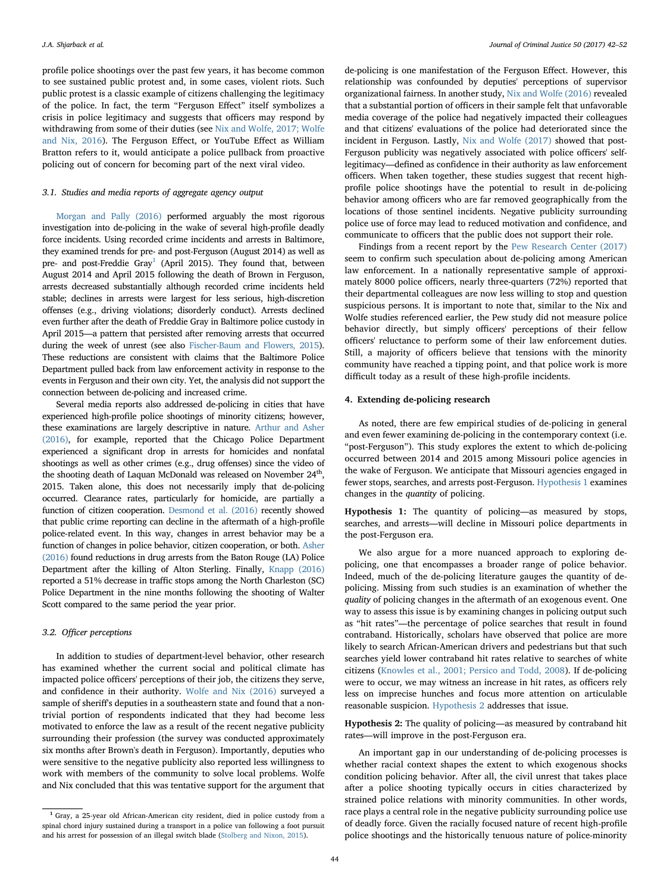profile police shootings over the past few years, it has become common to see sustained public protest and, in some cases, violent riots. Such public protest is a classic example of citizens challenging the legitimacy of the police. In fact, the term "Ferguson Effect" itself symbolizes a crisis in police legitimacy and suggests that officers may respond by withdrawing from some of their duties (see [Nix and Wolfe, 2017; Wolfe](#page-10-9) [and Nix, 2016\)](#page-10-9). The Ferguson Effect, or YouTube Effect as William Bratton refers to it, would anticipate a police pullback from proactive policing out of concern for becoming part of the next viral video.

#### 3.1. Studies and media reports of aggregate agency output

[Morgan and Pally \(2016\)](#page-10-4) performed arguably the most rigorous investigation into de-policing in the wake of several high-profile deadly force incidents. Using recorded crime incidents and arrests in Baltimore, they examined trends for pre- and post-Ferguson (August 2014) as well as pre- and post-Freddie Gray<sup>1</sup> (April 2015). They found that, between August 2014 and April 2015 following the death of Brown in Ferguson, arrests decreased substantially although recorded crime incidents held stable; declines in arrests were largest for less serious, high-discretion offenses (e.g., driving violations; disorderly conduct). Arrests declined even further after the death of Freddie Gray in Baltimore police custody in April 2015—a pattern that persisted after removing arrests that occurred during the week of unrest (see also [Fischer-Baum and Flowers, 2015\)](#page-9-9). These reductions are consistent with claims that the Baltimore Police Department pulled back from law enforcement activity in response to the events in Ferguson and their own city. Yet, the analysis did not support the connection between de-policing and increased crime.

Several media reports also addressed de-policing in cities that have experienced high-profile police shootings of minority citizens; however, these examinations are largely descriptive in nature. [Arthur and Asher](#page-9-10) [\(2016\),](#page-9-10) for example, reported that the Chicago Police Department experienced a significant drop in arrests for homicides and nonfatal shootings as well as other crimes (e.g., drug offenses) since the video of the shooting death of Laquan McDonald was released on November 24<sup>th</sup>, 2015. Taken alone, this does not necessarily imply that de-policing occurred. Clearance rates, particularly for homicide, are partially a function of citizen cooperation. [Desmond et al. \(2016\)](#page-9-11) recently showed that public crime reporting can decline in the aftermath of a high-profile police-related event. In this way, changes in arrest behavior may be a function of changes in police behavior, citizen cooperation, or both. [Asher](#page-9-12) [\(2016\)](#page-9-12) found reductions in drug arrests from the Baton Rouge (LA) Police Department after the killing of Alton Sterling. Finally, [Knapp \(2016\)](#page-9-13) reported a 51% decrease in traffic stops among the North Charleston (SC) Police Department in the nine months following the shooting of Walter Scott compared to the same period the year prior.

#### 3.2. Officer perceptions

In addition to studies of department-level behavior, other research has examined whether the current social and political climate has impacted police officers' perceptions of their job, the citizens they serve, and confidence in their authority. [Wolfe and Nix \(2016\)](#page-10-10) surveyed a sample of sheriff's deputies in a southeastern state and found that a nontrivial portion of respondents indicated that they had become less motivated to enforce the law as a result of the recent negative publicity surrounding their profession (the survey was conducted approximately six months after Brown's death in Ferguson). Importantly, deputies who were sensitive to the negative publicity also reported less willingness to work with members of the community to solve local problems. Wolfe and Nix concluded that this was tentative support for the argument that

de-policing is one manifestation of the Ferguson Effect. However, this relationship was confounded by deputies' perceptions of supervisor organizational fairness. In another study, [Nix and Wolfe \(2016\)](#page-10-11) revealed that a substantial portion of officers in their sample felt that unfavorable media coverage of the police had negatively impacted their colleagues and that citizens' evaluations of the police had deteriorated since the incident in Ferguson. Lastly, [Nix and Wolfe \(2017\)](#page-10-9) showed that post-Ferguson publicity was negatively associated with police officers' selflegitimacy—defined as confidence in their authority as law enforcement officers. When taken together, these studies suggest that recent highprofile police shootings have the potential to result in de-policing behavior among officers who are far removed geographically from the locations of those sentinel incidents. Negative publicity surrounding police use of force may lead to reduced motivation and confidence, and communicate to officers that the public does not support their role.

Findings from a recent report by the [Pew Research Center \(2017\)](#page-10-12) seem to confirm such speculation about de-policing among American law enforcement. In a nationally representative sample of approximately 8000 police officers, nearly three-quarters (72%) reported that their departmental colleagues are now less willing to stop and question suspicious persons. It is important to note that, similar to the Nix and Wolfe studies referenced earlier, the Pew study did not measure police behavior directly, but simply officers' perceptions of their fellow officers' reluctance to perform some of their law enforcement duties. Still, a majority of officers believe that tensions with the minority community have reached a tipping point, and that police work is more difficult today as a result of these high-profile incidents.

## 4. Extending de-policing research

As noted, there are few empirical studies of de-policing in general and even fewer examining de-policing in the contemporary context (i.e. "post-Ferguson"). This study explores the extent to which de-policing occurred between 2014 and 2015 among Missouri police agencies in the wake of Ferguson. We anticipate that Missouri agencies engaged in fewer stops, searches, and arrests post-Ferguson. [Hypothesis 1](#page-2-1) examines changes in the quantity of policing.

<span id="page-2-1"></span>Hypothesis 1: The quantity of policing—as measured by stops, searches, and arrests—will decline in Missouri police departments in the post-Ferguson era.

We also argue for a more nuanced approach to exploring depolicing, one that encompasses a broader range of police behavior. Indeed, much of the de-policing literature gauges the quantity of depolicing. Missing from such studies is an examination of whether the quality of policing changes in the aftermath of an exogenous event. One way to assess this issue is by examining changes in policing output such as "hit rates"—the percentage of police searches that result in found contraband. Historically, scholars have observed that police are more likely to search African-American drivers and pedestrians but that such searches yield lower contraband hit rates relative to searches of white citizens ([Knowles et al., 2001; Persico and Todd, 2008](#page-9-14)). If de-policing were to occur, we may witness an increase in hit rates, as officers rely less on imprecise hunches and focus more attention on articulable reasonable suspicion. [Hypothesis 2](#page-2-2) addresses that issue.

<span id="page-2-2"></span>Hypothesis 2: The quality of policing—as measured by contraband hit rates—will improve in the post-Ferguson era.

An important gap in our understanding of de-policing processes is whether racial context shapes the extent to which exogenous shocks condition policing behavior. After all, the civil unrest that takes place after a police shooting typically occurs in cities characterized by strained police relations with minority communities. In other words, race plays a central role in the negative publicity surrounding police use of deadly force. Given the racially focused nature of recent high-profile police shootings and the historically tenuous nature of police-minority

<span id="page-2-0"></span><sup>1</sup> Gray, a 25-year old African-American city resident, died in police custody from a spinal chord injury sustained during a transport in a police van following a foot pursuit and his arrest for possession of an illegal switch blade ([Stolberg and Nixon, 2015\)](#page-10-13).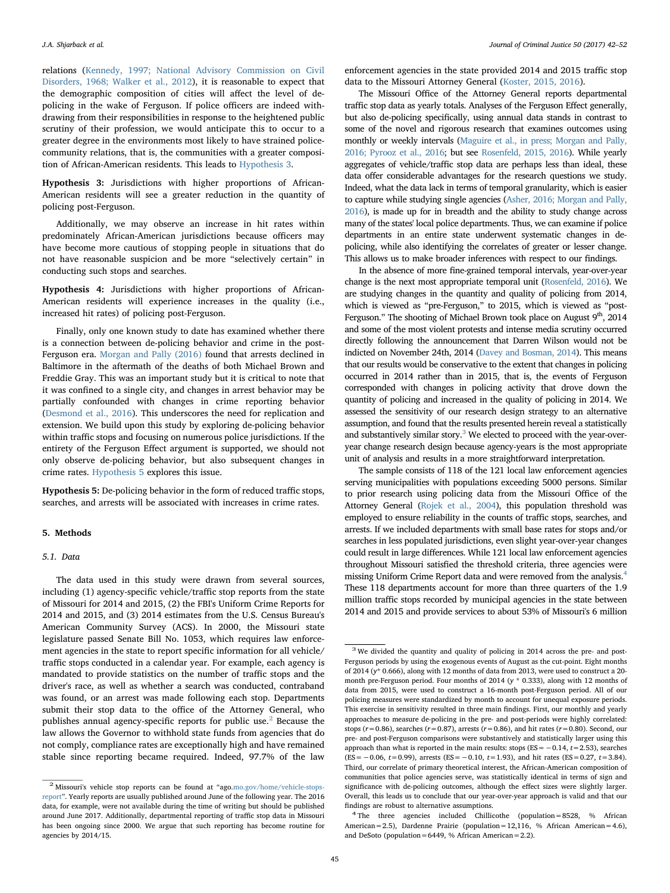relations [\(Kennedy, 1997; National Advisory Commission on Civil](#page-9-15) [Disorders, 1968; Walker et al., 2012\)](#page-9-15), it is reasonable to expect that the demographic composition of cities will affect the level of depolicing in the wake of Ferguson. If police officers are indeed withdrawing from their responsibilities in response to the heightened public scrutiny of their profession, we would anticipate this to occur to a greater degree in the environments most likely to have strained policecommunity relations, that is, the communities with a greater composition of African-American residents. This leads to [Hypothesis 3.](#page-3-0)

<span id="page-3-0"></span>Hypothesis 3: Jurisdictions with higher proportions of African-American residents will see a greater reduction in the quantity of policing post-Ferguson.

Additionally, we may observe an increase in hit rates within predominately African-American jurisdictions because officers may have become more cautious of stopping people in situations that do not have reasonable suspicion and be more "selectively certain" in conducting such stops and searches.

<span id="page-3-5"></span>Hypothesis 4: Jurisdictions with higher proportions of African-American residents will experience increases in the quality (i.e., increased hit rates) of policing post-Ferguson.

Finally, only one known study to date has examined whether there is a connection between de-policing behavior and crime in the post-Ferguson era. [Morgan and Pally \(2016\)](#page-10-4) found that arrests declined in Baltimore in the aftermath of the deaths of both Michael Brown and Freddie Gray. This was an important study but it is critical to note that it was confined to a single city, and changes in arrest behavior may be partially confounded with changes in crime reporting behavior ([Desmond et al., 2016](#page-9-11)). This underscores the need for replication and extension. We build upon this study by exploring de-policing behavior within traffic stops and focusing on numerous police jurisdictions. If the entirety of the Ferguson Effect argument is supported, we should not only observe de-policing behavior, but also subsequent changes in crime rates. [Hypothesis 5](#page-3-1) explores this issue.

<span id="page-3-1"></span>Hypothesis 5: De-policing behavior in the form of reduced traffic stops, searches, and arrests will be associated with increases in crime rates.

#### 5. Methods

### 5.1. Data

The data used in this study were drawn from several sources, including (1) agency-specific vehicle/traffic stop reports from the state of Missouri for 2014 and 2015, (2) the FBI's Uniform Crime Reports for 2014 and 2015, and (3) 2014 estimates from the U.S. Census Bureau's American Community Survey (ACS). In 2000, the Missouri state legislature passed Senate Bill No. 1053, which requires law enforcement agencies in the state to report specific information for all vehicle/ traffic stops conducted in a calendar year. For example, each agency is mandated to provide statistics on the number of traffic stops and the driver's race, as well as whether a search was conducted, contraband was found, or an arrest was made following each stop. Departments submit their stop data to the office of the Attorney General, who publishes annual agency-specific reports for public use.<sup>[2](#page-3-2)</sup> Because the law allows the Governor to withhold state funds from agencies that do not comply, compliance rates are exceptionally high and have remained stable since reporting became required. Indeed, 97.7% of the law

enforcement agencies in the state provided 2014 and 2015 traffic stop data to the Missouri Attorney General ([Koster, 2015, 2016\)](#page-9-16).

The Missouri Office of the Attorney General reports departmental traffic stop data as yearly totals. Analyses of the Ferguson Effect generally, but also de-policing specifically, using annual data stands in contrast to some of the novel and rigorous research that examines outcomes using monthly or weekly intervals [\(Maguire et al., in press; Morgan and Pally,](#page-10-14) [2016; Pyrooz et al., 2016](#page-10-14); but see [Rosenfeld, 2015, 2016\)](#page-10-15). While yearly aggregates of vehicle/traffic stop data are perhaps less than ideal, these data offer considerable advantages for the research questions we study. Indeed, what the data lack in terms of temporal granularity, which is easier to capture while studying single agencies [\(Asher, 2016; Morgan and Pally,](#page-9-12) [2016\)](#page-9-12), is made up for in breadth and the ability to study change across many of the states' local police departments. Thus, we can examine if police departments in an entire state underwent systematic changes in depolicing, while also identifying the correlates of greater or lesser change. This allows us to make broader inferences with respect to our findings.

In the absence of more fine-grained temporal intervals, year-over-year change is the next most appropriate temporal unit [\(Rosenfeld, 2016\)](#page-10-16). We are studying changes in the quantity and quality of policing from 2014, which is viewed as "pre-Ferguson," to 2015, which is viewed as "post-Ferguson." The shooting of Michael Brown took place on August 9<sup>th</sup>, 2014 and some of the most violent protests and intense media scrutiny occurred directly following the announcement that Darren Wilson would not be indicted on November 24th, 2014 [\(Davey and Bosman, 2014](#page-9-17)). This means that our results would be conservative to the extent that changes in policing occurred in 2014 rather than in 2015, that is, the events of Ferguson corresponded with changes in policing activity that drove down the quantity of policing and increased in the quality of policing in 2014. We assessed the sensitivity of our research design strategy to an alternative assumption, and found that the results presented herein reveal a statistically and substantively similar story.<sup>3</sup> We elected to proceed with the year-overyear change research design because agency-years is the most appropriate unit of analysis and results in a more straightforward interpretation.

The sample consists of 118 of the 121 local law enforcement agencies serving municipalities with populations exceeding 5000 persons. Similar to prior research using policing data from the Missouri Office of the Attorney General [\(Rojek et al., 2004\)](#page-10-17), this population threshold was employed to ensure reliability in the counts of traffic stops, searches, and arrests. If we included departments with small base rates for stops and/or searches in less populated jurisdictions, even slight year-over-year changes could result in large differences. While 121 local law enforcement agencies throughout Missouri satisfied the threshold criteria, three agencies were missing Uniform Crime Report data and were removed from the analysis[.4](#page-3-4) These 118 departments account for more than three quarters of the 1.9 million traffic stops recorded by municipal agencies in the state between 2014 and 2015 and provide services to about 53% of Missouri's 6 million

<span id="page-3-2"></span><sup>&</sup>lt;sup>2</sup> Missouri's vehicle stop reports can be found at "ago[.mo.gov/home/vehicle-stops](http://mo.gov/home/vehicle-stops-report)[report](http://mo.gov/home/vehicle-stops-report)". Yearly reports are usually published around June of the following year. The 2016 data, for example, were not available during the time of writing but should be published around June 2017. Additionally, departmental reporting of traffic stop data in Missouri has been ongoing since 2000. We argue that such reporting has become routine for agencies by 2014/15.

<span id="page-3-3"></span><sup>&</sup>lt;sup>3</sup> We divided the quantity and quality of policing in 2014 across the pre- and post-Ferguson periods by using the exogenous events of August as the cut-point. Eight months of 2014 ( $y^*$  0.666), along with 12 months of data from 2013, were used to construct a 20month pre-Ferguson period. Four months of 2014 (y \* 0.333), along with 12 months of data from 2015, were used to construct a 16-month post-Ferguson period. All of our policing measures were standardized by month to account for unequal exposure periods. This exercise in sensitivity resulted in three main findings. First, our monthly and yearly approaches to measure de-policing in the pre- and post-periods were highly correlated: stops ( $r=0.86$ ), searches ( $r=0.87$ ), arrests ( $r=0.86$ ), and hit rates ( $r=0.80$ ). Second, our pre- and post-Ferguson comparisons were substantively and statistically larger using this approach than what is reported in the main results: stops (ES = −0.14,  $t$  = 2.53), searches (ES = −0.06, t = 0.99), arrests (ES = −0.10, t = 1.93), and hit rates (ES = 0.27, t = 3.84). Third, our correlate of primary theoretical interest, the African-American composition of communities that police agencies serve, was statistically identical in terms of sign and significance with de-policing outcomes, although the effect sizes were slightly larger. Overall, this leads us to conclude that our year-over-year approach is valid and that our findings are robust to alternative assumptions.

<span id="page-3-4"></span> $4$  The three agencies included Chillicothe (population=8528, % African American=2.5), Dardenne Prairie (population=12,116, % African American=4.6), and DeSoto (population=6449, % African American=2.2).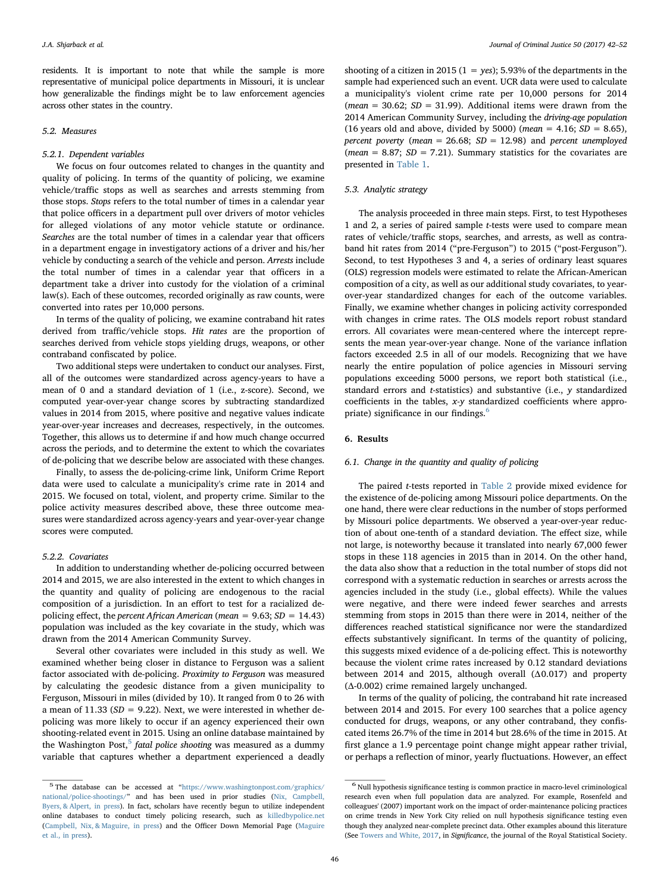residents. It is important to note that while the sample is more representative of municipal police departments in Missouri, it is unclear how generalizable the findings might be to law enforcement agencies across other states in the country.

#### 5.2. Measures

#### 5.2.1. Dependent variables

We focus on four outcomes related to changes in the quantity and quality of policing. In terms of the quantity of policing, we examine vehicle/traffic stops as well as searches and arrests stemming from those stops. Stops refers to the total number of times in a calendar year that police officers in a department pull over drivers of motor vehicles for alleged violations of any motor vehicle statute or ordinance. Searches are the total number of times in a calendar year that officers in a department engage in investigatory actions of a driver and his/her vehicle by conducting a search of the vehicle and person. Arrests include the total number of times in a calendar year that officers in a department take a driver into custody for the violation of a criminal law(s). Each of these outcomes, recorded originally as raw counts, were converted into rates per 10,000 persons.

In terms of the quality of policing, we examine contraband hit rates derived from traffic/vehicle stops. Hit rates are the proportion of searches derived from vehicle stops yielding drugs, weapons, or other contraband confiscated by police.

Two additional steps were undertaken to conduct our analyses. First, all of the outcomes were standardized across agency-years to have a mean of 0 and a standard deviation of 1 (i.e., z-score). Second, we computed year-over-year change scores by subtracting standardized values in 2014 from 2015, where positive and negative values indicate year-over-year increases and decreases, respectively, in the outcomes. Together, this allows us to determine if and how much change occurred across the periods, and to determine the extent to which the covariates of de-policing that we describe below are associated with these changes.

Finally, to assess the de-policing-crime link, Uniform Crime Report data were used to calculate a municipality's crime rate in 2014 and 2015. We focused on total, violent, and property crime. Similar to the police activity measures described above, these three outcome measures were standardized across agency-years and year-over-year change scores were computed.

### 5.2.2. Covariates

In addition to understanding whether de-policing occurred between 2014 and 2015, we are also interested in the extent to which changes in the quantity and quality of policing are endogenous to the racial composition of a jurisdiction. In an effort to test for a racialized depolicing effect, the percent African American (mean =  $9.63$ ; SD = 14.43) population was included as the key covariate in the study, which was drawn from the 2014 American Community Survey.

Several other covariates were included in this study as well. We examined whether being closer in distance to Ferguson was a salient factor associated with de-policing. Proximity to Ferguson was measured by calculating the geodesic distance from a given municipality to Ferguson, Missouri in miles (divided by 10). It ranged from 0 to 26 with a mean of 11.33 ( $SD = 9.22$ ). Next, we were interested in whether depolicing was more likely to occur if an agency experienced their own shooting-related event in 2015. Using an online database maintained by the Washington Post,<sup>[5](#page-4-0)</sup> fatal police shooting was measured as a dummy variable that captures whether a department experienced a deadly

shooting of a citizen in 2015 ( $1 = yes$ ); 5.93% of the departments in the sample had experienced such an event. UCR data were used to calculate a municipality's violent crime rate per 10,000 persons for 2014 (mean = 30.62;  $SD = 31.99$ ). Additional items were drawn from the 2014 American Community Survey, including the driving-age population (16 years old and above, divided by 5000) (mean = 4.16;  $SD = 8.65$ ), percent poverty (mean =  $26.68$ ;  $SD = 12.98$ ) and percent unemployed (*mean* = 8.87;  $SD = 7.21$ ). Summary statistics for the covariates are presented in [Table 1.](#page-5-0)

## 5.3. Analytic strategy

The analysis proceeded in three main steps. First, to test Hypotheses 1 and 2, a series of paired sample t-tests were used to compare mean rates of vehicle/traffic stops, searches, and arrests, as well as contraband hit rates from 2014 ("pre-Ferguson") to 2015 ("post-Ferguson"). Second, to test Hypotheses 3 and 4, a series of ordinary least squares (OLS) regression models were estimated to relate the African-American composition of a city, as well as our additional study covariates, to yearover-year standardized changes for each of the outcome variables. Finally, we examine whether changes in policing activity corresponded with changes in crime rates. The OLS models report robust standard errors. All covariates were mean-centered where the intercept represents the mean year-over-year change. None of the variance inflation factors exceeded 2.5 in all of our models. Recognizing that we have nearly the entire population of police agencies in Missouri serving populations exceeding 5000 persons, we report both statistical (i.e., standard errors and t-statistics) and substantive (i.e., y standardized coefficients in the tables, x-y standardized coefficients where appropriate) significance in our findings.[6](#page-4-1)

#### 6. Results

#### 6.1. Change in the quantity and quality of policing

The paired t-tests reported in [Table 2](#page-5-1) provide mixed evidence for the existence of de-policing among Missouri police departments. On the one hand, there were clear reductions in the number of stops performed by Missouri police departments. We observed a year-over-year reduction of about one-tenth of a standard deviation. The effect size, while not large, is noteworthy because it translated into nearly 67,000 fewer stops in these 118 agencies in 2015 than in 2014. On the other hand, the data also show that a reduction in the total number of stops did not correspond with a systematic reduction in searches or arrests across the agencies included in the study (i.e., global effects). While the values were negative, and there were indeed fewer searches and arrests stemming from stops in 2015 than there were in 2014, neither of the differences reached statistical significance nor were the standardized effects substantively significant. In terms of the quantity of policing, this suggests mixed evidence of a de-policing effect. This is noteworthy because the violent crime rates increased by 0.12 standard deviations between 2014 and 2015, although overall  $(\Delta 0.017)$  and property (Δ-0.002) crime remained largely unchanged.

In terms of the quality of policing, the contraband hit rate increased between 2014 and 2015. For every 100 searches that a police agency conducted for drugs, weapons, or any other contraband, they confiscated items 26.7% of the time in 2014 but 28.6% of the time in 2015. At first glance a 1.9 percentage point change might appear rather trivial, or perhaps a reflection of minor, yearly fluctuations. However, an effect

<span id="page-4-0"></span><sup>5</sup> The database can be accessed at "[https://www.washingtonpost.com/graphics/](https://www.washingtonpost.com/graphics/national/police-shootings/) [national/police-shootings/](https://www.washingtonpost.com/graphics/national/police-shootings/)" and has been used in prior studies ([Nix, Campbell,](#page-10-18) [Byers, & Alpert, in press\)](#page-10-18). In fact, scholars have recently begun to utilize independent online databases to conduct timely policing research, such as [killedbypolice.net](http://killedbypolice.net) ([Campbell, Nix, & Maguire, in press\)](#page-9-18) and the Officer Down Memorial Page [\(Maguire](#page-10-14) [et al., in press\)](#page-10-14).

<span id="page-4-1"></span><sup>6</sup> Null hypothesis significance testing is common practice in macro-level criminological research even when full population data are analyzed. For example, Rosenfeld and colleagues' (2007) important work on the impact of order-maintenance policing practices on crime trends in New York City relied on null hypothesis significance testing even though they analyzed near-complete precinct data. Other examples abound this literature (See [Towers and White, 2017](#page-10-19), in Significance, the journal of the Royal Statistical Society.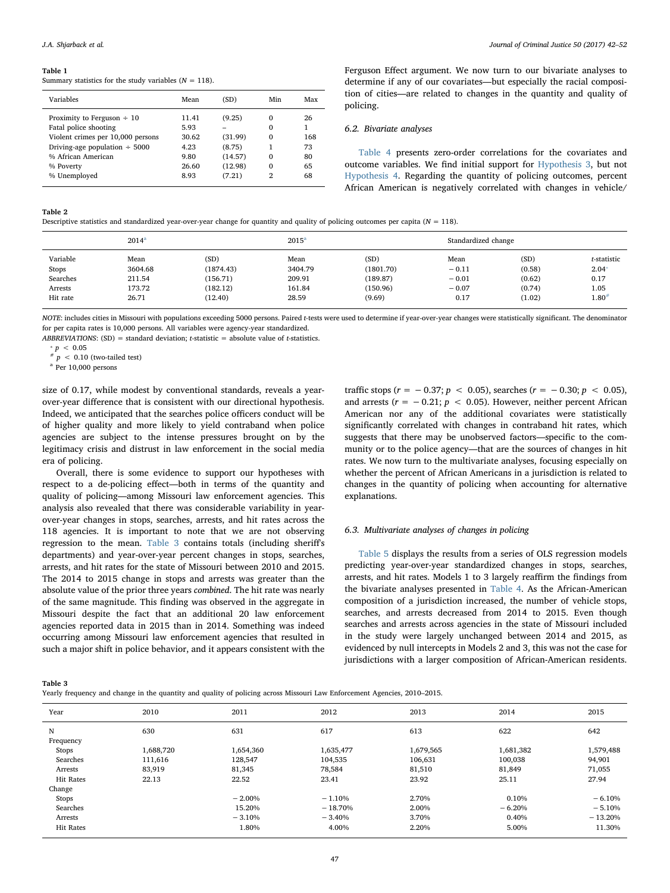#### <span id="page-5-0"></span>Table 1

Summary statistics for the study variables  $(N = 118)$ .

| Variables                          | Mean  | (SD)    | Min      | Max |
|------------------------------------|-------|---------|----------|-----|
| Proximity to Ferguson $\div$ 10    | 11.41 | (9.25)  | 0        | 26  |
| Fatal police shooting              | 5.93  |         | 0        | 1   |
| Violent crimes per 10,000 persons  | 30.62 | (31.99) | $\Omega$ | 168 |
| Driving-age population $\div$ 5000 | 4.23  | (8.75)  |          | 73  |
| % African American                 | 9.80  | (14.57) | $\Omega$ | 80  |
| % Poverty                          | 26.60 | (12.98) | $\Omega$ | 65  |
| % Unemployed                       | 8.93  | (7.21)  | 2        | 68  |
|                                    |       |         |          |     |

Ferguson Effect argument. We now turn to our bivariate analyses to determine if any of our covariates—but especially the racial composition of cities—are related to changes in the quantity and quality of policing.

#### 6.2. Bivariate analyses

[Table 4](#page-6-0) presents zero-order correlations for the covariates and outcome variables. We find initial support for [Hypothesis 3](#page-3-0), but not [Hypothesis 4.](#page-3-5) Regarding the quantity of policing outcomes, percent African American is negatively correlated with changes in vehicle/

#### <span id="page-5-1"></span>Table 2

Descriptive statistics and standardized year-over-year change for quantity and quality of policing outcomes per capita ( $N = 118$ ).

|          | $2014^{\circ}$ |           | $2015^a$ |           |         | Standardized change |             |  |  |
|----------|----------------|-----------|----------|-----------|---------|---------------------|-------------|--|--|
| Variable | Mean           | (SD)      | Mean     | (SD)      | Mean    | (SD)                | t-statistic |  |  |
| Stops    | 3604.68        | (1874.43) | 3404.79  | (1801.70) | $-0.11$ | (0.58)              | $2.04*$     |  |  |
| Searches | 211.54         | (156.71)  | 209.91   | (189.87)  | $-0.01$ | (0.62)              | 0.17        |  |  |
| Arrests  | 173.72         | (182.12)  | 161.84   | (150.96)  | $-0.07$ | (0.74)              | 1.05        |  |  |
| Hit rate | 26.71          | (12.40)   | 28.59    | (9.69)    | 0.17    | (1.02)              | $1.80^{#}$  |  |  |

NOTE: includes cities in Missouri with populations exceeding 5000 persons. Paired t-tests were used to determine if year-over-year changes were statistically significant. The denominator for per capita rates is 10,000 persons. All variables were agency-year standardized.

ABBREVIATIONS: (SD) = standard deviation; t-statistic = absolute value of t-statistics.

<span id="page-5-4"></span> $p < 0.05$ 

<span id="page-5-5"></span> $p < 0.10$  (two-tailed test)

<span id="page-5-3"></span> $a$  Per 10,000 persons

size of 0.17, while modest by conventional standards, reveals a yearover-year difference that is consistent with our directional hypothesis. Indeed, we anticipated that the searches police officers conduct will be of higher quality and more likely to yield contraband when police agencies are subject to the intense pressures brought on by the legitimacy crisis and distrust in law enforcement in the social media era of policing.

Overall, there is some evidence to support our hypotheses with respect to a de-policing effect—both in terms of the quantity and quality of policing—among Missouri law enforcement agencies. This analysis also revealed that there was considerable variability in yearover-year changes in stops, searches, arrests, and hit rates across the 118 agencies. It is important to note that we are not observing regression to the mean. [Table 3](#page-5-2) contains totals (including sheriff's departments) and year-over-year percent changes in stops, searches, arrests, and hit rates for the state of Missouri between 2010 and 2015. The 2014 to 2015 change in stops and arrests was greater than the absolute value of the prior three years combined. The hit rate was nearly of the same magnitude. This finding was observed in the aggregate in Missouri despite the fact that an additional 20 law enforcement agencies reported data in 2015 than in 2014. Something was indeed occurring among Missouri law enforcement agencies that resulted in such a major shift in police behavior, and it appears consistent with the

traffic stops ( $r = -0.37$ ;  $p < 0.05$ ), searches ( $r = -0.30$ ;  $p < 0.05$ ), and arrests ( $r = -0.21$ ;  $p < 0.05$ ). However, neither percent African American nor any of the additional covariates were statistically significantly correlated with changes in contraband hit rates, which suggests that there may be unobserved factors—specific to the community or to the police agency—that are the sources of changes in hit rates. We now turn to the multivariate analyses, focusing especially on whether the percent of African Americans in a jurisdiction is related to changes in the quantity of policing when accounting for alternative explanations.

#### 6.3. Multivariate analyses of changes in policing

[Table 5](#page-6-1) displays the results from a series of OLS regression models predicting year-over-year standardized changes in stops, searches, arrests, and hit rates. Models 1 to 3 largely reaffirm the findings from the bivariate analyses presented in [Table 4.](#page-6-0) As the African-American composition of a jurisdiction increased, the number of vehicle stops, searches, and arrests decreased from 2014 to 2015. Even though searches and arrests across agencies in the state of Missouri included in the study were largely unchanged between 2014 and 2015, as evidenced by null intercepts in Models 2 and 3, this was not the case for jurisdictions with a larger composition of African-American residents.

<span id="page-5-2"></span>Table 3

|  |  |  |  |  |  |  |  |  |  |  |  |  | Yearly frequency and change in the quantity and quality of policing across Missouri Law Enforcement Agencies, 2010–2015. |  |  |
|--|--|--|--|--|--|--|--|--|--|--|--|--|--------------------------------------------------------------------------------------------------------------------------|--|--|
|--|--|--|--|--|--|--|--|--|--|--|--|--|--------------------------------------------------------------------------------------------------------------------------|--|--|

| Year             | 2010      | 2011      | 2012      | 2013      | 2014      | 2015      |
|------------------|-----------|-----------|-----------|-----------|-----------|-----------|
| N                | 630       | 631       | 617       | 613       | 622       | 642       |
| Frequency        |           |           |           |           |           |           |
| Stops            | 1,688,720 | 1,654,360 | 1,635,477 | 1,679,565 | 1,681,382 | 1,579,488 |
| Searches         | 111,616   | 128,547   | 104,535   | 106,631   | 100,038   | 94,901    |
| Arrests          | 83,919    | 81,345    | 78,584    | 81,510    | 81,849    | 71,055    |
| <b>Hit Rates</b> | 22.13     | 22.52     | 23.41     | 23.92     | 25.11     | 27.94     |
| Change           |           |           |           |           |           |           |
| Stops            |           | $-2.00%$  | $-1.10%$  | 2.70%     | 0.10%     | $-6.10%$  |
| Searches         |           | 15.20%    | $-18.70%$ | 2.00%     | $-6.20%$  | $-5.10%$  |
| Arrests          |           | $-3.10%$  | $-3.40%$  | 3.70%     | 0.40%     | $-13.20%$ |
| <b>Hit Rates</b> |           | 1.80%     | 4.00%     | 2.20%     | 5.00%     | 11.30%    |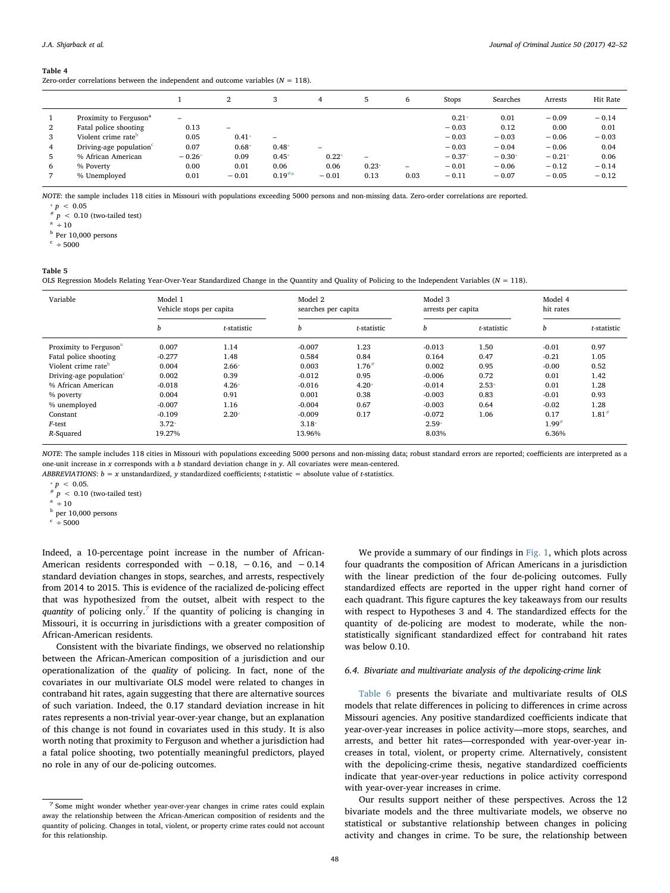#### <span id="page-6-0"></span>Table 4

Zero-order correlations between the independent and outcome variables ( $N = 118$ ).

|                |                                     |          |         |             |          |          | 6        | Stops    | Searches | Arrests  | Hit Rate |
|----------------|-------------------------------------|----------|---------|-------------|----------|----------|----------|----------|----------|----------|----------|
|                | Proximity to Ferguson <sup>a</sup>  | -        |         |             |          |          |          | $0.21*$  | 0.01     | $-0.09$  | $-0.14$  |
| $\overline{2}$ | Fatal police shooting               | 0.13     | -       |             |          |          |          | $-0.03$  | 0.12     | 0.00     | 0.01     |
| 3              | Violent crime rate <sup>b</sup>     | 0.05     | $0.41*$ | $\equiv$    |          |          |          | $-0.03$  | $-0.03$  | $-0.06$  | $-0.03$  |
|                | Driving-age population <sup>c</sup> | 0.07     | $0.68*$ | $0.48*$     | $\equiv$ |          |          | $-0.03$  | $-0.04$  | $-0.06$  | 0.04     |
|                | % African American                  | $-0.26*$ | 0.09    | $0.45*$     | $0.22*$  | $\equiv$ |          | $-0.37*$ | $-0.30*$ | $-0.21*$ | 0.06     |
| 6              | % Poverty                           | 0.00     | 0.01    | 0.06        | 0.06     | $0.23*$  | $\equiv$ | $-0.01$  | $-0.06$  | $-0.12$  | $-0.14$  |
|                | % Unemployed                        | 0.01     | $-0.01$ | $0.19^{#a}$ | $-0.01$  | 0.13     | 0.03     | $-0.11$  | $-0.07$  | $-0.05$  | $-0.12$  |

NOTE: the sample includes 118 cities in Missouri with populations exceeding 5000 persons and non-missing data. Zero-order correlations are reported.

<span id="page-6-3"></span> $^* p \; < \; 0.05$ 

<span id="page-6-6"></span> $^\#$   $p~<~0.10$  (two-tailed test)

<span id="page-6-7"></span> $a + 10$ 

<span id="page-6-4"></span><sup>b</sup> Per 10,000 persons

<span id="page-6-5"></span> $\div$  5000

#### <span id="page-6-1"></span>Table 5

OLS Regression Models Relating Year-Over-Year Standardized Change in the Quantity and Quality of Policing to the Independent Variables ( $N = 118$ ).

| Variable                           | Model 1<br>Vehicle stops per capita |             | Model 2<br>searches per capita |             | Model 3<br>arrests per capita |             | Model 4<br>hit rates |             |
|------------------------------------|-------------------------------------|-------------|--------------------------------|-------------|-------------------------------|-------------|----------------------|-------------|
|                                    | b                                   | t-statistic | b                              | t-statistic | b                             | t-statistic | b                    | t-statistic |
| Proximity to Ferguson <sup>a</sup> | 0.007                               | 1.14        | $-0.007$                       | 1.23        | $-0.013$                      | 1.50        | $-0.01$              | 0.97        |
| Fatal police shooting              | $-0.277$                            | 1.48        | 0.584                          | 0.84        | 0.164                         | 0.47        | $-0.21$              | 1.05        |
| Violent crime rate <sup>b</sup>    | 0.004                               | $2.66*$     | 0.003                          | $1.76^{*}$  | 0.002                         | 0.95        | $-0.00$              | 0.52        |
| Driving-age population $c$         | 0.002                               | 0.39        | $-0.012$                       | 0.95        | $-0.006$                      | 0.72        | 0.01                 | 1.42        |
| % African American                 | $-0.018$                            | $4.26*$     | $-0.016$                       | $4.20*$     | $-0.014$                      | $2.53*$     | 0.01                 | 1.28        |
| % poverty                          | 0.004                               | 0.91        | 0.001                          | 0.38        | $-0.003$                      | 0.83        | $-0.01$              | 0.93        |
| % unemployed                       | $-0.007$                            | 1.16        | $-0.004$                       | 0.67        | $-0.003$                      | 0.64        | $-0.02$              | 1.28        |
| Constant                           | $-0.109$                            | $2.20*$     | $-0.009$                       | 0.17        | $-0.072$                      | 1.06        | 0.17                 | $1.81*$     |
| $F$ -test                          | $3.72*$                             |             | $3.18*$                        |             | $2.59*$                       |             | $1.99$ <sup>#</sup>  |             |
| R-Squared                          | 19.27%                              |             | 13.96%                         |             | 8.03%                         |             | 6.36%                |             |

NOTE: The sample includes 118 cities in Missouri with populations exceeding 5000 persons and non-missing data; robust standard errors are reported; coefficients are interpreted as a one-unit increase in x corresponds with a b standard deviation change in y. All covariates were mean-centered.

ABBREVIATIONS:  $b = x$  unstandardized, y standardized coefficients; t-statistic = absolute value of t-statistics.

<span id="page-6-10"></span> $p < 0.05$ .

<span id="page-6-11"></span> $p < 0.10$  (two-tailed test)

<span id="page-6-8"></span> $a + 10$ 

<span id="page-6-9"></span> $^{\rm b}$  per 10,000 persons

<span id="page-6-12"></span> $± 5000$ 

Indeed, a 10-percentage point increase in the number of African-American residents corresponded with  $-0.18$ ,  $-0.16$ , and  $-0.14$ standard deviation changes in stops, searches, and arrests, respectively from 2014 to 2015. This is evidence of the racialized de-policing effect that was hypothesized from the outset, albeit with respect to the quantity of policing only.<sup>[7](#page-6-2)</sup> If the quantity of policing is changing in Missouri, it is occurring in jurisdictions with a greater composition of African-American residents.

Consistent with the bivariate findings, we observed no relationship between the African-American composition of a jurisdiction and our operationalization of the quality of policing. In fact, none of the covariates in our multivariate OLS model were related to changes in contraband hit rates, again suggesting that there are alternative sources of such variation. Indeed, the 0.17 standard deviation increase in hit rates represents a non-trivial year-over-year change, but an explanation of this change is not found in covariates used in this study. It is also worth noting that proximity to Ferguson and whether a jurisdiction had a fatal police shooting, two potentially meaningful predictors, played no role in any of our de-policing outcomes.

We provide a summary of our findings in [Fig. 1,](#page-7-0) which plots across four quadrants the composition of African Americans in a jurisdiction with the linear prediction of the four de-policing outcomes. Fully standardized effects are reported in the upper right hand corner of each quadrant. This figure captures the key takeaways from our results with respect to Hypotheses 3 and 4. The standardized effects for the quantity of de-policing are modest to moderate, while the nonstatistically significant standardized effect for contraband hit rates was below 0.10.

#### 6.4. Bivariate and multivariate analysis of the depolicing-crime link

[Table 6](#page-7-1) presents the bivariate and multivariate results of OLS models that relate differences in policing to differences in crime across Missouri agencies. Any positive standardized coefficients indicate that year-over-year increases in police activity—more stops, searches, and arrests, and better hit rates—corresponded with year-over-year increases in total, violent, or property crime. Alternatively, consistent with the depolicing-crime thesis, negative standardized coefficients indicate that year-over-year reductions in police activity correspond with year-over-year increases in crime.

Our results support neither of these perspectives. Across the 12 bivariate models and the three multivariate models, we observe no statistical or substantive relationship between changes in policing activity and changes in crime. To be sure, the relationship between

<span id="page-6-2"></span><sup>7</sup> Some might wonder whether year-over-year changes in crime rates could explain away the relationship between the African-American composition of residents and the quantity of policing. Changes in total, violent, or property crime rates could not account for this relationship.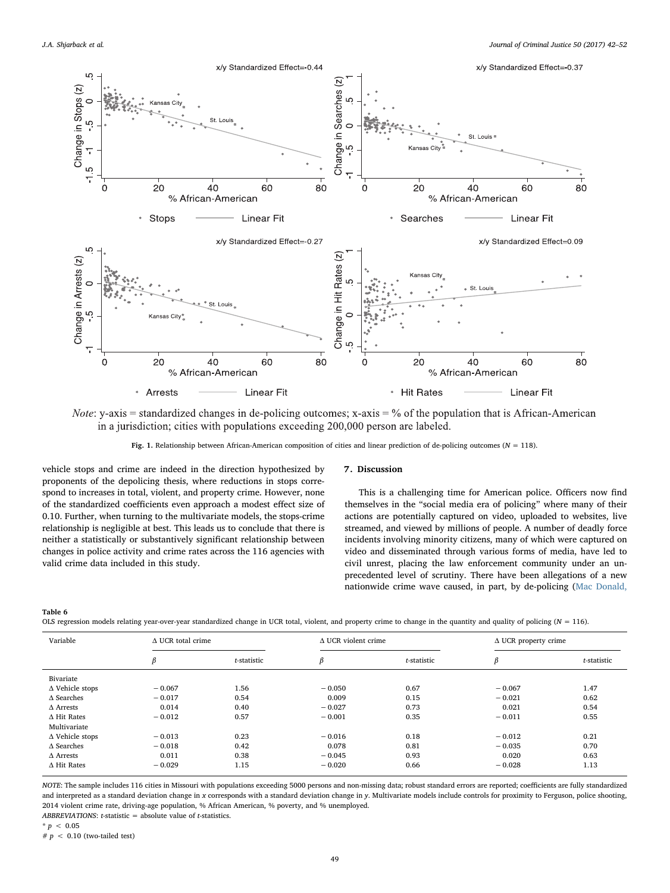<span id="page-7-0"></span>

*Note*: y-axis = standardized changes in de-policing outcomes; x-axis = % of the population that is African-American in a jurisdiction; cities with populations exceeding 200,000 person are labeled.

Fig. 1. Relationship between African-American composition of cities and linear prediction of de-policing outcomes ( $N = 118$ ).

vehicle stops and crime are indeed in the direction hypothesized by proponents of the depolicing thesis, where reductions in stops correspond to increases in total, violent, and property crime. However, none of the standardized coefficients even approach a modest effect size of 0.10. Further, when turning to the multivariate models, the stops-crime relationship is negligible at best. This leads us to conclude that there is neither a statistically or substantively significant relationship between changes in police activity and crime rates across the 116 agencies with valid crime data included in this study.

## 7. Discussion

This is a challenging time for American police. Officers now find themselves in the "social media era of policing" where many of their actions are potentially captured on video, uploaded to websites, live streamed, and viewed by millions of people. A number of deadly force incidents involving minority citizens, many of which were captured on video and disseminated through various forms of media, have led to civil unrest, placing the law enforcement community under an unprecedented level of scrutiny. There have been allegations of a new nationwide crime wave caused, in part, by de-policing ([Mac Donald,](#page-10-2)

<span id="page-7-1"></span>Table 6

OLS regression models relating year-over-year standardized change in UCR total, violent, and property crime to change in the quantity and quality of policing ( $N = 116$ ).

| Variable               |          | $\triangle$ UCR total crime<br>β<br>t-statistic |          | $\Delta$ UCR violent crime | $\Delta$ UCR property crime |             |
|------------------------|----------|-------------------------------------------------|----------|----------------------------|-----------------------------|-------------|
|                        |          |                                                 |          | t-statistic                | β                           | t-statistic |
| Bivariate              |          |                                                 |          |                            |                             |             |
| $\Delta$ Vehicle stops | $-0.067$ | 1.56                                            | $-0.050$ | 0.67                       | $-0.067$                    | 1.47        |
| $\Delta$ Searches      | $-0.017$ | 0.54                                            | 0.009    | 0.15                       | $-0.021$                    | 0.62        |
| $\Delta$ Arrests       | 0.014    | 0.40                                            | $-0.027$ | 0.73                       | 0.021                       | 0.54        |
| $\Delta$ Hit Rates     | $-0.012$ | 0.57                                            | $-0.001$ | 0.35                       | $-0.011$                    | 0.55        |
| Multivariate           |          |                                                 |          |                            |                             |             |
| $\Delta$ Vehicle stops | $-0.013$ | 0.23                                            | $-0.016$ | 0.18                       | $-0.012$                    | 0.21        |
| $\Delta$ Searches      | $-0.018$ | 0.42                                            | 0.078    | 0.81                       | $-0.035$                    | 0.70        |
| $\Delta$ Arrests       | 0.011    | 0.38                                            | $-0.045$ | 0.93                       | 0.020                       | 0.63        |
| $\Delta$ Hit Rates     | $-0.029$ | 1.15                                            | $-0.020$ | 0.66                       | $-0.028$                    | 1.13        |

NOTE: The sample includes 116 cities in Missouri with populations exceeding 5000 persons and non-missing data; robust standard errors are reported; coefficients are fully standardized and interpreted as a standard deviation change in x corresponds with a standard deviation change in y. Multivariate models include controls for proximity to Ferguson, police shooting, 2014 violent crime rate, driving-age population, % African American, % poverty, and % unemployed.

ABBREVIATIONS:  $t$ -statistic = absolute value of  $t$ -statistics.

 $* p < 0.05$ 

 $# p < 0.10$  (two-tailed test)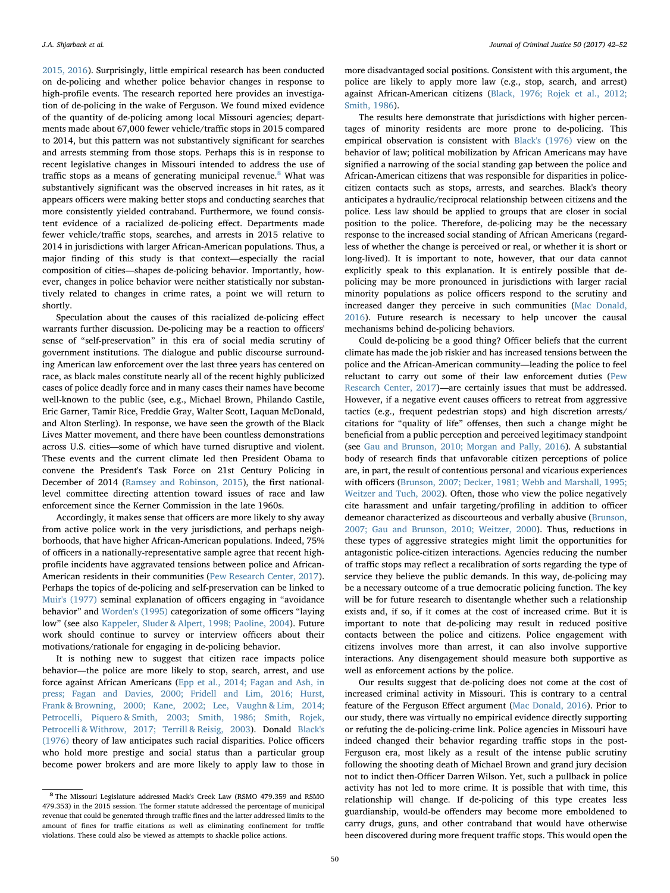[2015, 2016](#page-10-2)). Surprisingly, little empirical research has been conducted on de-policing and whether police behavior changes in response to high-profile events. The research reported here provides an investigation of de-policing in the wake of Ferguson. We found mixed evidence of the quantity of de-policing among local Missouri agencies; departments made about 67,000 fewer vehicle/traffic stops in 2015 compared to 2014, but this pattern was not substantively significant for searches and arrests stemming from those stops. Perhaps this is in response to recent legislative changes in Missouri intended to address the use of traffic stops as a means of generating municipal revenue.<sup>[8](#page-8-0)</sup> What was substantively significant was the observed increases in hit rates, as it appears officers were making better stops and conducting searches that more consistently yielded contraband. Furthermore, we found consistent evidence of a racialized de-policing effect. Departments made fewer vehicle/traffic stops, searches, and arrests in 2015 relative to 2014 in jurisdictions with larger African-American populations. Thus, a major finding of this study is that context—especially the racial composition of cities—shapes de-policing behavior. Importantly, however, changes in police behavior were neither statistically nor substantively related to changes in crime rates, a point we will return to shortly.

Speculation about the causes of this racialized de-policing effect warrants further discussion. De-policing may be a reaction to officers' sense of "self-preservation" in this era of social media scrutiny of government institutions. The dialogue and public discourse surrounding American law enforcement over the last three years has centered on race, as black males constitute nearly all of the recent highly publicized cases of police deadly force and in many cases their names have become well-known to the public (see, e.g., Michael Brown, Philando Castile, Eric Garner, Tamir Rice, Freddie Gray, Walter Scott, Laquan McDonald, and Alton Sterling). In response, we have seen the growth of the Black Lives Matter movement, and there have been countless demonstrations across U.S. cities—some of which have turned disruptive and violent. These events and the current climate led then President Obama to convene the President's Task Force on 21st Century Policing in December of 2014 ([Ramsey and Robinson, 2015\)](#page-10-20), the first nationallevel committee directing attention toward issues of race and law enforcement since the Kerner Commission in the late 1960s.

Accordingly, it makes sense that officers are more likely to shy away from active police work in the very jurisdictions, and perhaps neighborhoods, that have higher African-American populations. Indeed, 75% of officers in a nationally-representative sample agree that recent highprofile incidents have aggravated tensions between police and African-American residents in their communities ([Pew Research Center, 2017](#page-10-12)). Perhaps the topics of de-policing and self-preservation can be linked to [Muir's \(1977\)](#page-10-21) seminal explanation of officers engaging in "avoidance behavior" and [Worden's \(1995\)](#page-10-22) categorization of some officers "laying low" (see also [Kappeler, Sluder & Alpert, 1998; Paoline, 2004](#page-9-19)). Future work should continue to survey or interview officers about their motivations/rationale for engaging in de-policing behavior.

It is nothing new to suggest that citizen race impacts police behavior—the police are more likely to stop, search, arrest, and use force against African Americans ([Epp et al., 2014; Fagan and Ash, in](#page-9-6) press; [Fagan and Davies, 2000; Fridell and Lim, 2016; Hurst,](#page-9-6) [Frank & Browning, 2000; Kane, 2002; Lee, Vaughn & Lim, 2014;](#page-9-6) [Petrocelli, Piquero & Smith, 2003; Smith, 1986; Smith, Rojek,](#page-9-6) [Petrocelli & Withrow, 2017; Terrill & Reisig, 2003\)](#page-9-6). Donald [Black's](#page-9-20) [\(1976\)](#page-9-20) theory of law anticipates such racial disparities. Police officers who hold more prestige and social status than a particular group become power brokers and are more likely to apply law to those in

more disadvantaged social positions. Consistent with this argument, the police are likely to apply more law (e.g., stop, search, and arrest) against African-American citizens ([Black, 1976; Rojek et al., 2012;](#page-9-20) [Smith, 1986](#page-9-20)).

The results here demonstrate that jurisdictions with higher percentages of minority residents are more prone to de-policing. This empirical observation is consistent with [Black's \(1976\)](#page-9-20) view on the behavior of law; political mobilization by African Americans may have signified a narrowing of the social standing gap between the police and African-American citizens that was responsible for disparities in policecitizen contacts such as stops, arrests, and searches. Black's theory anticipates a hydraulic/reciprocal relationship between citizens and the police. Less law should be applied to groups that are closer in social position to the police. Therefore, de-policing may be the necessary response to the increased social standing of African Americans (regardless of whether the change is perceived or real, or whether it is short or long-lived). It is important to note, however, that our data cannot explicitly speak to this explanation. It is entirely possible that depolicing may be more pronounced in jurisdictions with larger racial minority populations as police officers respond to the scrutiny and increased danger they perceive in such communities [\(Mac Donald,](#page-10-1) [2016\)](#page-10-1). Future research is necessary to help uncover the causal mechanisms behind de-policing behaviors.

Could de-policing be a good thing? Officer beliefs that the current climate has made the job riskier and has increased tensions between the police and the African-American community—leading the police to feel reluctant to carry out some of their law enforcement duties ([Pew](#page-10-12) [Research Center, 2017](#page-10-12))—are certainly issues that must be addressed. However, if a negative event causes officers to retreat from aggressive tactics (e.g., frequent pedestrian stops) and high discretion arrests/ citations for "quality of life" offenses, then such a change might be beneficial from a public perception and perceived legitimacy standpoint (see [Gau and Brunson, 2010; Morgan and Pally, 2016\)](#page-9-21). A substantial body of research finds that unfavorable citizen perceptions of police are, in part, the result of contentious personal and vicarious experiences with officers [\(Brunson, 2007; Decker, 1981; Webb and Marshall, 1995;](#page-9-22) [Weitzer and Tuch, 2002\)](#page-9-22). Often, those who view the police negatively cite harassment and unfair targeting/profiling in addition to officer demeanor characterized as discourteous and verbally abusive [\(Brunson,](#page-9-22) [2007; Gau and Brunson, 2010; Weitzer, 2000](#page-9-22)). Thus, reductions in these types of aggressive strategies might limit the opportunities for antagonistic police-citizen interactions. Agencies reducing the number of traffic stops may reflect a recalibration of sorts regarding the type of service they believe the public demands. In this way, de-policing may be a necessary outcome of a true democratic policing function. The key will be for future research to disentangle whether such a relationship exists and, if so, if it comes at the cost of increased crime. But it is important to note that de-policing may result in reduced positive contacts between the police and citizens. Police engagement with citizens involves more than arrest, it can also involve supportive interactions. Any disengagement should measure both supportive as well as enforcement actions by the police.

Our results suggest that de-policing does not come at the cost of increased criminal activity in Missouri. This is contrary to a central feature of the Ferguson Effect argument ([Mac Donald, 2016\)](#page-10-1). Prior to our study, there was virtually no empirical evidence directly supporting or refuting the de-policing-crime link. Police agencies in Missouri have indeed changed their behavior regarding traffic stops in the post-Ferguson era, most likely as a result of the intense public scrutiny following the shooting death of Michael Brown and grand jury decision not to indict then-Officer Darren Wilson. Yet, such a pullback in police activity has not led to more crime. It is possible that with time, this relationship will change. If de-policing of this type creates less guardianship, would-be offenders may become more emboldened to carry drugs, guns, and other contraband that would have otherwise been discovered during more frequent traffic stops. This would open the

<span id="page-8-0"></span><sup>8</sup> The Missouri Legislature addressed Mack's Creek Law (RSMO 479.359 and RSMO 479.353) in the 2015 session. The former statute addressed the percentage of municipal revenue that could be generated through traffic fines and the latter addressed limits to the amount of fines for traffic citations as well as eliminating confinement for traffic violations. These could also be viewed as attempts to shackle police actions.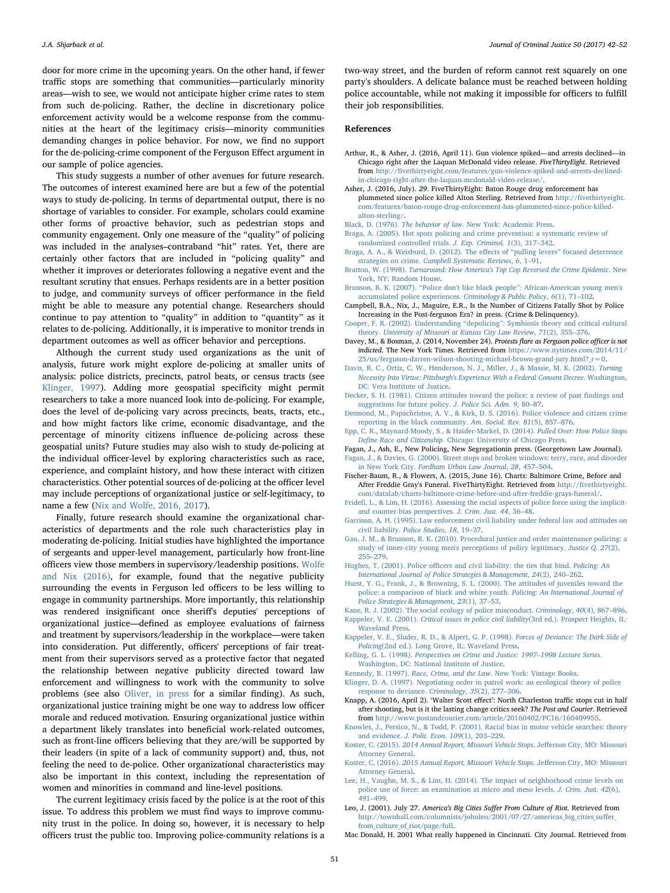door for more crime in the upcoming years. On the other hand, if fewer traffic stops are something that communities—particularly minority areas—wish to see, we would not anticipate higher crime rates to stem from such de-policing. Rather, the decline in discretionary police enforcement activity would be a welcome response from the communities at the heart of the legitimacy crisis—minority communities demanding changes in police behavior. For now, we find no support for the de-policing-crime component of the Ferguson Effect argument in our sample of police agencies.

This study suggests a number of other avenues for future research. The outcomes of interest examined here are but a few of the potential ways to study de-policing. In terms of departmental output, there is no shortage of variables to consider. For example, scholars could examine other forms of proactive behavior, such as pedestrian stops and community engagement. Only one measure of the "quality" of policing was included in the analyses–contraband "hit" rates. Yet, there are certainly other factors that are included in "policing quality" and whether it improves or deteriorates following a negative event and the resultant scrutiny that ensues. Perhaps residents are in a better position to judge, and community surveys of officer performance in the field might be able to measure any potential change. Researchers should continue to pay attention to "quality" in addition to "quantity" as it relates to de-policing. Additionally, it is imperative to monitor trends in department outcomes as well as officer behavior and perceptions.

Although the current study used organizations as the unit of analysis, future work might explore de-policing at smaller units of analysis: police districts, precincts, patrol beats, or census tracts (see [Klinger, 1997](#page-9-23)). Adding more geospatial specificity might permit researchers to take a more nuanced look into de-policing. For example, does the level of de-policing vary across precincts, beats, tracts, etc., and how might factors like crime, economic disadvantage, and the percentage of minority citizens influence de-policing across these geospatial units? Future studies may also wish to study de-policing at the individual officer-level by exploring characteristics such as race, experience, and complaint history, and how these interact with citizen characteristics. Other potential sources of de-policing at the officer level may include perceptions of organizational justice or self-legitimacy, to name a few ([Nix and Wolfe, 2016, 2017\)](#page-10-11).

Finally, future research should examine the organizational characteristics of departments and the role such characteristics play in moderating de-policing. Initial studies have highlighted the importance of sergeants and upper-level management, particularly how front-line officers view those members in supervisory/leadership positions. [Wolfe](#page-10-10) [and Nix \(2016\)](#page-10-10), for example, found that the negative publicity surrounding the events in Ferguson led officers to be less willing to engage in community partnerships. More importantly, this relationship was rendered insignificant once sheriffs deputies' perceptions of organizational justice—defined as employee evaluations of fairness and treatment by supervisors/leadership in the workplace—were taken into consideration. Put differently, officers' perceptions of fair treatment from their supervisors served as a protective factor that negated the relationship between negative publicity directed toward law enforcement and willingness to work with the community to solve problems (see also [Oliver, in press](#page-10-23) for a similar finding). As such, organizational justice training might be one way to address low officer morale and reduced motivation. Ensuring organizational justice within a department likely translates into beneficial work-related outcomes, such as front-line officers believing that they are/will be supported by their leaders (in spite of a lack of community support) and, thus, not feeling the need to de-police. Other organizational characteristics may also be important in this context, including the representation of women and minorities in command and line-level positions.

The current legitimacy crisis faced by the police is at the root of this issue. To address this problem we must find ways to improve community trust in the police. In doing so, however, it is necessary to help officers trust the public too. Improving police-community relations is a

two-way street, and the burden of reform cannot rest squarely on one party's shoulders. A delicate balance must be reached between holding police accountable, while not making it impossible for officers to fulfill their job responsibilities.

#### References

- <span id="page-9-10"></span>Arthur, R., & Asher, J. (2016, April 11). Gun violence spiked—and arrests declined—in Chicago right after the Laquan McDonald video release. FiveThirtyEight. Retrieved from http://fi[vethirtyeight.com/features/gun-violence-spiked-and-arrests-declined](http://fivethirtyeight.com/features/gun-violence-spiked-and-arrests-declined-in-chicago-right-after-the-laquan-mcdonald-video-release/)[in-chicago-right-after-the-laquan-mcdonald-video-release/.](http://fivethirtyeight.com/features/gun-violence-spiked-and-arrests-declined-in-chicago-right-after-the-laquan-mcdonald-video-release/)
- <span id="page-9-12"></span>Asher, J. (2016, July). 29. FiveThirtyEight: Baton Rouge drug enforcement has plummeted since police killed Alton Sterling. Retrieved from http://fi[vethirtyeight.](http://fivethirtyeight.com/features/baton-rouge-drug-enforcement-has-plummeted-since-police-killed-alton-sterling/) [com/features/baton-rouge-drug-enforcement-has-plummeted-since-police-killed](http://fivethirtyeight.com/features/baton-rouge-drug-enforcement-has-plummeted-since-police-killed-alton-sterling/)[alton-sterling/](http://fivethirtyeight.com/features/baton-rouge-drug-enforcement-has-plummeted-since-police-killed-alton-sterling/).
- <span id="page-9-20"></span>Black, D. (1976). The behavior of law[. New York: Academic Press](http://refhub.elsevier.com/S0047-2352(17)30128-9/rf0015).
- <span id="page-9-0"></span>[Braga, A. \(2005\). Hot spots policing and crime prevention: a systematic review of](http://refhub.elsevier.com/S0047-2352(17)30128-9/rf0020) [randomized controlled trials.](http://refhub.elsevier.com/S0047-2352(17)30128-9/rf0020) J. Exp. Criminol. 1(3), 317–342.
- [Braga, A. A., & Weisburd, D. \(2012\). The e](http://refhub.elsevier.com/S0047-2352(17)30128-9/rf0025)ffects of "pulling levers" focused deterrence strategies on crime. [Campbell Systematic Reviews](http://refhub.elsevier.com/S0047-2352(17)30128-9/rf0025), 6, 1–91.
- <span id="page-9-4"></span>Bratton, W. (1998). [Turnaround: How America's Top Cop Reversed the Crime Epidemic](http://refhub.elsevier.com/S0047-2352(17)30128-9/rf0030). New [York, NY: Random House](http://refhub.elsevier.com/S0047-2352(17)30128-9/rf0030).
- <span id="page-9-22"></span>Brunson, R. K. (2007). "Police don't like black people"[: African-American young men's](http://refhub.elsevier.com/S0047-2352(17)30128-9/rf0035) [accumulated police experiences.](http://refhub.elsevier.com/S0047-2352(17)30128-9/rf0035) Criminology & Public Policy, 6(1), 71–102.
- <span id="page-9-18"></span>Campbell, B.A., Nix, J., Maguire, E.R., Is the Number of Citizens Fatally Shot by Police Increasing in the Post-ferguson Era? in press. (Crime & Delinquency).
- <span id="page-9-3"></span>Cooper, F. R. (2002). Understanding "depolicing"[: Symbiosis theory and critical cultural](http://refhub.elsevier.com/S0047-2352(17)30128-9/rf0045) theory. [University of Missouri at Kansas City Law Review](http://refhub.elsevier.com/S0047-2352(17)30128-9/rf0045), 71(2), 355–376.
- <span id="page-9-17"></span>Davey, M., & Bosman, J. (2014, November 24). Protests flare as Ferguson police officer is not indicted. The New York Times. Retrieved from [https://www.nytimes.com/2014/11/](https://www.nytimes.com/2014/11/25/us/ferguson-darren-wilson-shooting-michael-brown-grand-jury.html?_r=0)  $25/us/ferguson-darren-wilson-shooting-michael-brown-grand-jury.html?_r=0.$
- <span id="page-9-7"></span>[Davis, R. C., Ortiz, C. W., Henderson, N. J., Miller, J., & Massie, M. K. \(2002\).](http://refhub.elsevier.com/S0047-2352(17)30128-9/rf0060) Turning [Necessity Into Virtue: Pittsburgh's Experience With a Federal Consent Decree](http://refhub.elsevier.com/S0047-2352(17)30128-9/rf0060). Washington, [DC: Vera Institute of Justice.](http://refhub.elsevier.com/S0047-2352(17)30128-9/rf0060)
- [Decker, S. H. \(1981\). Citizen attitudes toward the police: a review of past](http://refhub.elsevier.com/S0047-2352(17)30128-9/rf0065) findings and [suggestions for future policy.](http://refhub.elsevier.com/S0047-2352(17)30128-9/rf0065) J. Police Sci. Adm. 9, 80–87.
- <span id="page-9-11"></span>[Desmond, M., Papachristos, A. V., & Kirk, D. S. \(2016\). Police violence and citizen crime](http://refhub.elsevier.com/S0047-2352(17)30128-9/rf0070) [reporting in the black community.](http://refhub.elsevier.com/S0047-2352(17)30128-9/rf0070) Am. Sociol. Rev. 81(5), 857–876.
- <span id="page-9-6"></span>[Epp, C. R., Maynard-Moody, S., & Haider-Markel, D. \(2014\).](http://refhub.elsevier.com/S0047-2352(17)30128-9/rf0075) Pulled Over: How Police Stops Define Race and Citizenship[. Chicago: University of Chicago Press](http://refhub.elsevier.com/S0047-2352(17)30128-9/rf0075).
- <span id="page-9-2"></span>Fagan, J., Ash, E., New Policing, New Segregationin press. (Georgetown Law Journal).
- [Fagan, J., & Davies, G. \(2000\). Street stops and broken windows: terry, race, and disorder](http://refhub.elsevier.com/S0047-2352(17)30128-9/rf0085) in New York City. [Fordham Urban Law Journal](http://refhub.elsevier.com/S0047-2352(17)30128-9/rf0085), 28, 457–504.
- <span id="page-9-9"></span>Fischer-Baum, R., & Flowers, A. (2015, June 16). Charts: Baltimore Crime, Before and After Freddie Gray's Funeral. FiveThirtyEight. Retrieved from http://fi[vethirtyeight.](http://fivethirtyeight.com/datalab/charts-baltimore-crime-before-and-after-freddie-grays-funeral/) [com/datalab/charts-baltimore-crime-before-and-after-freddie-grays-funeral/.](http://fivethirtyeight.com/datalab/charts-baltimore-crime-before-and-after-freddie-grays-funeral/)
- [Fridell, L., & Lim, H. \(2016\). Assessing the racial aspects of police force using the implicit](http://refhub.elsevier.com/S0047-2352(17)30128-9/rf0095)[and counter-bias perspectives.](http://refhub.elsevier.com/S0047-2352(17)30128-9/rf0095) J. Crim. Just. 44, 36–48.
- <span id="page-9-8"></span>[Garrison, A. H. \(1995\). Law enforcement civil liability under federal law and attitudes on](http://refhub.elsevier.com/S0047-2352(17)30128-9/rf0100) [civil liability.](http://refhub.elsevier.com/S0047-2352(17)30128-9/rf0100) Police Studies, 18, 19–37.
- <span id="page-9-21"></span>[Gau, J. M., & Brunson, R. K. \(2010\). Procedural justice and order maintenance policing: a](http://refhub.elsevier.com/S0047-2352(17)30128-9/rf0105) [study of inner-city young men's perceptions of policy legitimacy.](http://refhub.elsevier.com/S0047-2352(17)30128-9/rf0105) Justice Q. 27(2), 255–[279](http://refhub.elsevier.com/S0047-2352(17)30128-9/rf0105).
- Hughes, T. (2001). Police offi[cers and civil liability: the ties that bind.](http://refhub.elsevier.com/S0047-2352(17)30128-9/rf0110) Policing: An [International Journal of Police Strategies & Management](http://refhub.elsevier.com/S0047-2352(17)30128-9/rf0110), 24(2), 240–262.
- [Hurst, Y. G., Frank, J., & Browning, S. L. \(2000\). The attitudes of juveniles toward the](http://refhub.elsevier.com/S0047-2352(17)30128-9/rf0115) [police: a comparison of black and white youth.](http://refhub.elsevier.com/S0047-2352(17)30128-9/rf0115) Policing: An International Journal of [Police Strategies & Management](http://refhub.elsevier.com/S0047-2352(17)30128-9/rf0115), 23(1), 37–53.
- [Kane, R. J. \(2002\). The social ecology of police misconduct.](http://refhub.elsevier.com/S0047-2352(17)30128-9/rf0120) Criminology, 40(4), 867–896. Kappeler, V. E. (2001). [Critical issues in police civil liability](http://refhub.elsevier.com/S0047-2352(17)30128-9/rf0125)(3rd ed.). Prospect Heights, IL: [Waveland Press](http://refhub.elsevier.com/S0047-2352(17)30128-9/rf0125).
- <span id="page-9-19"></span>[Kappeler, V. E., Sluder, R. D., & Alpert, G. P. \(1998\).](http://refhub.elsevier.com/S0047-2352(17)30128-9/rf0130) Forces of Deviance: The Dark Side of Policing[\(2nd ed.\). Long Grove, IL: Waveland Press](http://refhub.elsevier.com/S0047-2352(17)30128-9/rf0130).
- <span id="page-9-5"></span>Kelling, G. L. (1998). [Perspectives on Crime and Justice: 1997](http://refhub.elsevier.com/S0047-2352(17)30128-9/rf0135)–1998 Lecture Series. [Washington, DC: National Institute of Justice](http://refhub.elsevier.com/S0047-2352(17)30128-9/rf0135).
- <span id="page-9-15"></span>Kennedy, R. (1997). Race, Crime, and the Law[. New York: Vintage Books.](http://refhub.elsevier.com/S0047-2352(17)30128-9/rf0140)
- <span id="page-9-23"></span>[Klinger, D. A. \(1997\). Negotiating order in patrol work: an ecological theory of police](http://refhub.elsevier.com/S0047-2352(17)30128-9/rf0145) [response to deviance.](http://refhub.elsevier.com/S0047-2352(17)30128-9/rf0145) Criminology, 35(2), 277–306.
- <span id="page-9-13"></span>Knapp, A. (2016, April 2). 'Walter Scott effect': North Charleston traffic stops cut in half after shooting, but is it the lasting change critics seek? The Post and Courier. Retrieved from [http://www.postandcourier.com/article/20160402/PC16/160409955.](http://www.postandcourier.com/article/20160402/PC16/160409955)
- <span id="page-9-14"></span>[Knowles, J., Persico, N., & Todd, P. \(2001\). Racial bias in motor vehicle searches: theory](http://refhub.elsevier.com/S0047-2352(17)30128-9/rf0155) and evidence. [J. Polit. Econ. 109](http://refhub.elsevier.com/S0047-2352(17)30128-9/rf0155)(1), 203–229.
- <span id="page-9-16"></span>Koster, C. (2015). [2014 Annual Report, Missouri Vehicle Stops](http://refhub.elsevier.com/S0047-2352(17)30128-9/rf0160). Jefferson City, MO: Missouri [Attorney General](http://refhub.elsevier.com/S0047-2352(17)30128-9/rf0160).
- Koster, C. (2016). [2015 Annual Report, Missouri Vehicle Stops](http://refhub.elsevier.com/S0047-2352(17)30128-9/rf0165). Jefferson City, MO: Missouri [Attorney General](http://refhub.elsevier.com/S0047-2352(17)30128-9/rf0165).
- [Lee, H., Vaughn, M. S., & Lim, H. \(2014\). The impact of neighborhood crime levels on](http://refhub.elsevier.com/S0047-2352(17)30128-9/rf0170) [police use of force: an examination at micro and meso levels.](http://refhub.elsevier.com/S0047-2352(17)30128-9/rf0170) J. Crim. Just. 42(6), 491–[499](http://refhub.elsevier.com/S0047-2352(17)30128-9/rf0170).
- <span id="page-9-1"></span>Leo, J. (2001). July 27. America's Big Cities Suffer From Culture of Riot. Retrieved from [http://townhall.com/columnists/johnleo/2001/07/27/americas\\_big\\_cities\\_su](http://townhall.com/columnists/johnleo/2001/07/27/americas_big_cities_suffer_from_culture_of_riot/page/full)ffer\_ [from\\_culture\\_of\\_riot/page/full.](http://townhall.com/columnists/johnleo/2001/07/27/americas_big_cities_suffer_from_culture_of_riot/page/full)
- Mac Donald, H. 2001 What really happened in Cincinnati. City Journal. Retrieved from